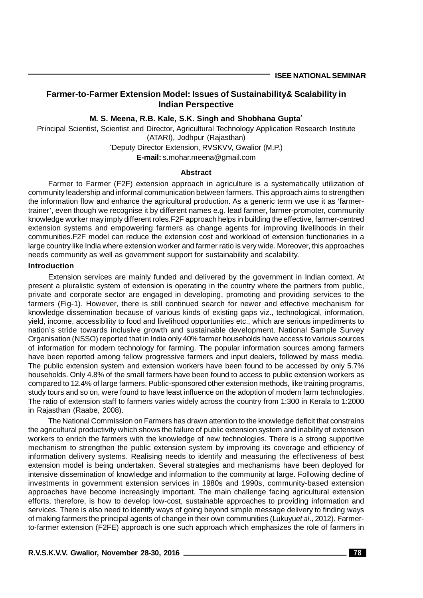## **Farmer-to-Farmer Extension Model: Issues of Sustainability& Scalability in Indian Perspective**

**M. S. Meena, R.B. Kale, S.K. Singh and Shobhana Gupta\***

Principal Scientist, Scientist and Director, Agricultural Technology Application Research Institute (ATARI), Jodhpur (Rajasthan)

\*Deputy Director Extension, RVSKVV, Gwalior (M.P.)

**E-mail:** s.mohar.meena@gmail.com

#### **Abstract**

Farmer to Farmer (F2F) extension approach in agriculture is a systematically utilization of community leadership and informal communication between farmers. This approach aims to strengthen the information flow and enhance the agricultural production. As a generic term we use it as 'farmertrainer', even though we recognise it by different names e.g. lead farmer, farmer-promoter, community knowledge worker may imply different roles.F2F approach helps in building the effective, farmer-centred extension systems and empowering farmers as change agents for improving livelihoods in their communities.F2F model can reduce the extension cost and workload of extension functionaries in a large country like India where extension worker and farmer ratio is very wide. Moreover, this approaches needs community as well as government support for sustainability and scalability.

#### **Introduction**

Extension services are mainly funded and delivered by the government in Indian context. At present a pluralistic system of extension is operating in the country where the partners from public, private and corporate sector are engaged in developing, promoting and providing services to the farmers (Fig-1). However, there is still continued search for newer and effective mechanism for knowledge dissemination because of various kinds of existing gaps viz., technological, information, yield, income, accessibility to food and livelihood opportunities etc., which are serious impediments to nation's stride towards inclusive growth and sustainable development. National Sample Survey Organisation (NSSO) reported that in India only 40% farmer households have access to various sources of information for modern technology for farming. The popular information sources among farmers have been reported among fellow progressive farmers and input dealers, followed by mass media. The public extension system and extension workers have been found to be accessed by only 5.7% households. Only 4.8% of the small farmers have been found to access to public extension workers as compared to 12.4% of large farmers. Public-sponsored other extension methods, like training programs, study tours and so on, were found to have least influence on the adoption of modern farm technologies. The ratio of extension staff to farmers varies widely across the country from 1:300 in Kerala to 1:2000 in Rajasthan (Raabe, 2008).

The National Commission on Farmers has drawn attention to the knowledge deficit that constrains the agricultural productivity which shows the failure of public extension system and inability of extension workers to enrich the farmers with the knowledge of new technologies. There is a strong supportive mechanism to strengthen the public extension system by improving its coverage and efficiency of information delivery systems. Realising needs to identify and measuring the effectiveness of best extension model is being undertaken. Several strategies and mechanisms have been deployed for intensive dissemination of knowledge and information to the community at large. Following decline of investments in government extension services in 1980s and 1990s, community-based extension approaches have become increasingly important. The main challenge facing agricultural extension efforts, therefore, is how to develop low-cost, sustainable approaches to providing information and services. There is also need to identify ways of going beyond simple message delivery to finding ways of making farmers the principal agents of change in their own communities (Lukuyu*et al*., 2012). Farmerto-farmer extension (F2FE) approach is one such approach which emphasizes the role of farmers in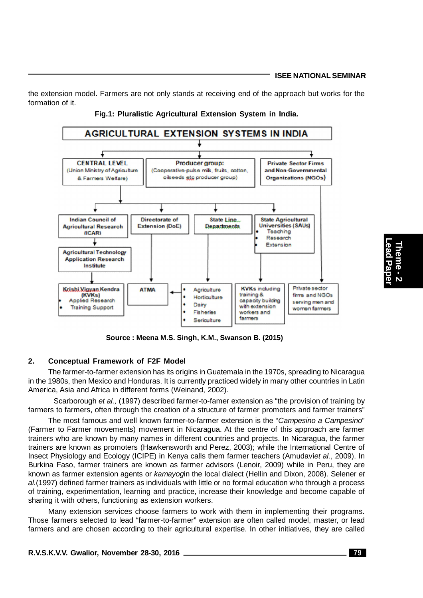the extension model. Farmers are not only stands at receiving end of the approach but works for the formation of it.





**Source : Meena M.S. Singh, K.M., Swanson B. (2015)**

## **2. Conceptual Framework of F2F Model**

The farmer-to-farmer extension has its origins in Guatemala in the 1970s, spreading to Nicaragua in the 1980s, then Mexico and Honduras. It is currently practiced widely in many other countries in Latin America, Asia and Africa in different forms (Weinand, 2002).

Scarborough *et al.,* (1997) described farmer-to-famer extension as "the provision of training by farmers to farmers, often through the creation of a structure of farmer promoters and farmer trainers"

The most famous and well known farmer-to-farmer extension is the "*Campesino a Campesino*" (Farmer to Farmer movements) movement in Nicaragua. At the centre of this approach are farmer trainers who are known by many names in different countries and projects. In Nicaragua, the farmer trainers are known as promoters (Hawkensworth and Perez, 2003); while the International Centre of Insect Physiology and Ecology (ICIPE) in Kenya calls them farmer teachers (Amudavi*et al.*, 2009). In Burkina Faso, farmer trainers are known as farmer advisors (Lenoir, 2009) while in Peru, they are known as farmer extension agents or *kamayog*in the local dialect (Hellin and Dixon, 2008). Selener *et al.*(1997) defined farmer trainers as individuals with little or no formal education who through a process of training, experimentation, learning and practice, increase their knowledge and become capable of sharing it with others, functioning as extension workers.

Many extension services choose farmers to work with them in implementing their programs. Those farmers selected to lead "farmer-to-farmer" extension are often called model, master, or lead farmers and are chosen according to their agricultural expertise. In other initiatives, they are called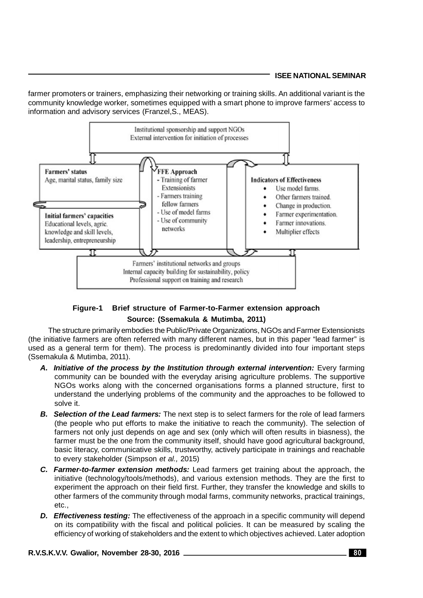## **ISEE NATIONAL SEMINAR**

farmer promoters or trainers, emphasizing their networking or training skills. An additional variant is the community knowledge worker, sometimes equipped with a smart phone to improve farmers' access to information and advisory services (Franzel,S., MEAS).



# **Figure-1 Brief structure of Farmer-to-Farmer extension approach Source: (Ssemakula & Mutimba, 2011)**

The structure primarily embodies the Public/Private Organizations, NGOs and Farmer Extensionists (the initiative farmers are often referred with many different names, but in this paper "lead farmer" is used as a general term for them). The process is predominantly divided into four important steps (Ssemakula & Mutimba, 2011).

- *A. Initiative of the process by the Institution through external intervention:* Every farming community can be bounded with the everyday arising agriculture problems. The supportive NGOs works along with the concerned organisations forms a planned structure, first to understand the underlying problems of the community and the approaches to be followed to solve it.
- *B. Selection of the Lead farmers:* The next step is to select farmers for the role of lead farmers (the people who put efforts to make the initiative to reach the community). The selection of farmers not only just depends on age and sex (only which will often results in biasness), the farmer must be the one from the community itself, should have good agricultural background, basic literacy, communicative skills, trustworthy, actively participate in trainings and reachable to every stakeholder (Simpson *et al.,* 2015)
- *C. Farmer-to-farmer extension methods:* Lead farmers get training about the approach, the initiative (technology/tools/methods), and various extension methods. They are the first to experiment the approach on their field first. Further, they transfer the knowledge and skills to other farmers of the community through modal farms, community networks, practical trainings, etc.,
- *D. Effectiveness testing:* The effectiveness of the approach in a specific community will depend on its compatibility with the fiscal and political policies. It can be measured by scaling the efficiency of working of stakeholders and the extent to which objectives achieved. Later adoption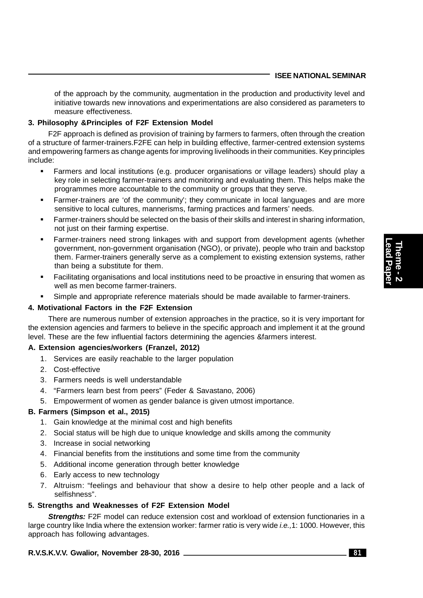of the approach by the community, augmentation in the production and productivity level and initiative towards new innovations and experimentations are also considered as parameters to measure effectiveness.

# **3. Philosophy &Principles of F2F Extension Model**

F2F approach is defined as provision of training by farmers to farmers, often through the creation of a structure of farmer-trainers.F2FE can help in building effective, farmer-centred extension systems and empowering farmers as change agents for improving livelihoods in their communities. Key principles include:

- Farmers and local institutions (e.g. producer organisations or village leaders) should play a key role in selecting farmer-trainers and monitoring and evaluating them. This helps make the programmes more accountable to the community or groups that they serve.
- Farmer-trainers are 'of the community'; they communicate in local languages and are more sensitive to local cultures, mannerisms, farming practices and farmers' needs.
- Farmer-trainers should be selected on the basis of their skills and interest in sharing information, not just on their farming expertise.
- Farmer-trainers need strong linkages with and support from development agents (whether government, non-government organisation (NGO), or private), people who train and backstop them. Farmer-trainers generally serve as a complement to existing extension systems, rather than being a substitute for them.
- Facilitating organisations and local institutions need to be proactive in ensuring that women as well as men become farmer-trainers.
- Simple and appropriate reference materials should be made available to farmer-trainers.

# **4. Motivational Factors in the F2F Extension**

There are numerous number of extension approaches in the practice, so it is very important for the extension agencies and farmers to believe in the specific approach and implement it at the ground level. These are the few influential factors determining the agencies &farmers interest.

# **A. Extension agencies/workers (Franzel, 2012)**

- 1. Services are easily reachable to the larger population
- 2. Cost-effective
- 3. Farmers needs is well understandable
- 4. "Farmers learn best from peers" (Feder & Savastano, 2006)
- 5. Empowerment of women as gender balance is given utmost importance.

# **B. Farmers (Simpson et al., 2015)**

- 1. Gain knowledge at the minimal cost and high benefits
- 2. Social status will be high due to unique knowledge and skills among the community
- 3. Increase in social networking
- 4. Financial benefits from the institutions and some time from the community
- 5. Additional income generation through better knowledge
- 6. Early access to new technology
- 7. Altruism: "feelings and behaviour that show a desire to help other people and a lack of selfishness".

#### **5. Strengths and Weaknesses of F2F Extension Model**

**Strengths:** F2F model can reduce extension cost and workload of extension functionaries in a large country like India where the extension worker: farmer ratio is very wide *i.e.,*1: 1000. However, this approach has following advantages.

# **R.V.S.K.V.V. Gwalior, November 28-30, 2016 81**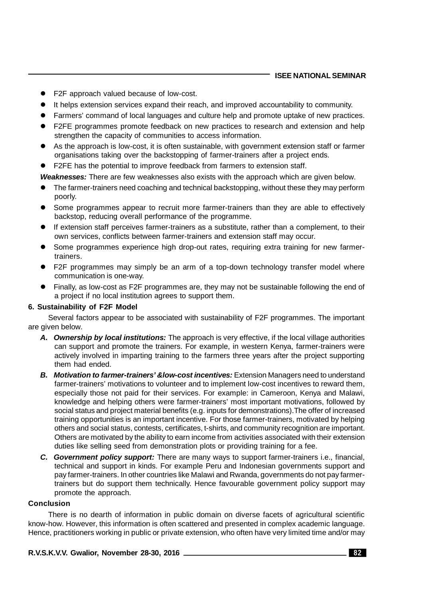#### **ISEE NATIONAL SEMINAR**

- F2F approach valued because of low-cost.
- It helps extension services expand their reach, and improved accountability to community.
- Farmers' command of local languages and culture help and promote uptake of new practices.
- F2FE programmes promote feedback on new practices to research and extension and help strengthen the capacity of communities to access information.
- As the approach is low-cost, it is often sustainable, with government extension staff or farmer organisations taking over the backstopping of farmer-trainers after a project ends.
- F2FE has the potential to improve feedback from farmers to extension staff.

*Weaknesses:* There are few weaknesses also exists with the approach which are given below.

- The farmer-trainers need coaching and technical backstopping, without these they may perform poorly.
- Some programmes appear to recruit more farmer-trainers than they are able to effectively backstop, reducing overall performance of the programme.
- If extension staff perceives farmer-trainers as a substitute, rather than a complement, to their own services, conflicts between farmer-trainers and extension staff may occur.
- Some programmes experience high drop-out rates, requiring extra training for new farmertrainers.
- F2F programmes may simply be an arm of a top-down technology transfer model where communication is one-way.
- Finally, as low-cost as F2F programmes are, they may not be sustainable following the end of a project if no local institution agrees to support them.

#### **6. Sustainability of F2F Model**

Several factors appear to be associated with sustainability of F2F programmes. The important are given below.

- *A. Ownership by local institutions:* The approach is very effective, if the local village authorities can support and promote the trainers. For example, in western Kenya, farmer-trainers were actively involved in imparting training to the farmers three years after the project supporting them had ended.
- **B.** *Motivation to farmer-trainers' & low-cost incentives:* Extension Managers need to understand farmer-trainers' motivations to volunteer and to implement low-cost incentives to reward them, especially those not paid for their services. For example: in Cameroon, Kenya and Malawi, knowledge and helping others were farmer-trainers' most important motivations, followed by social status and project material benefits (e.g. inputs for demonstrations).The offer of increased training opportunities is an important incentive. For those farmer-trainers, motivated by helping others and social status, contests, certificates, t-shirts, and community recognition are important. Others are motivated by the ability to earn income from activities associated with their extension duties like selling seed from demonstration plots or providing training for a fee.
- *C. Government policy support:* There are many ways to support farmer-trainers i.e., financial, technical and support in kinds. For example Peru and Indonesian governments support and pay farmer-trainers. In other countries like Malawi and Rwanda, governments do not pay farmertrainers but do support them technically. Hence favourable government policy support may promote the approach.

#### **Conclusion**

There is no dearth of information in public domain on diverse facets of agricultural scientific know-how. However, this information is often scattered and presented in complex academic language. Hence, practitioners working in public or private extension, who often have very limited time and/or may